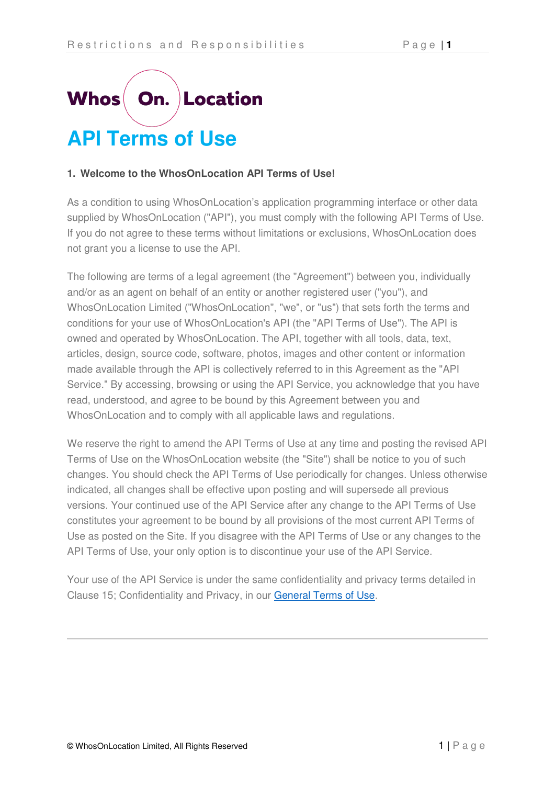# **On. Location Whos API Terms of Use**

## **1. Welcome to the WhosOnLocation API Terms of Use!**

As a condition to using WhosOnLocation's application programming interface or other data supplied by WhosOnLocation ("API"), you must comply with the following API Terms of Use. If you do not agree to these terms without limitations or exclusions, WhosOnLocation does not grant you a license to use the API.

The following are terms of a legal agreement (the "Agreement") between you, individually and/or as an agent on behalf of an entity or another registered user ("you"), and WhosOnLocation Limited ("WhosOnLocation", "we", or "us") that sets forth the terms and conditions for your use of WhosOnLocation's API (the "API Terms of Use"). The API is owned and operated by WhosOnLocation. The API, together with all tools, data, text, articles, design, source code, software, photos, images and other content or information made available through the API is collectively referred to in this Agreement as the "API Service." By accessing, browsing or using the API Service, you acknowledge that you have read, understood, and agree to be bound by this Agreement between you and WhosOnLocation and to comply with all applicable laws and regulations.

We reserve the right to amend the API Terms of Use at any time and posting the revised API Terms of Use on the WhosOnLocation website (the "Site") shall be notice to you of such changes. You should check the API Terms of Use periodically for changes. Unless otherwise indicated, all changes shall be effective upon posting and will supersede all previous versions. Your continued use of the API Service after any change to the API Terms of Use constitutes your agreement to be bound by all provisions of the most current API Terms of Use as posted on the Site. If you disagree with the API Terms of Use or any changes to the API Terms of Use, your only option is to discontinue your use of the API Service.

Your use of the API Service is under the same confidentiality and privacy terms detailed in Clause 15; Confidentiality and Privacy, in our [General Terms of Use.](https://login.whosonlocation.com/home/terms)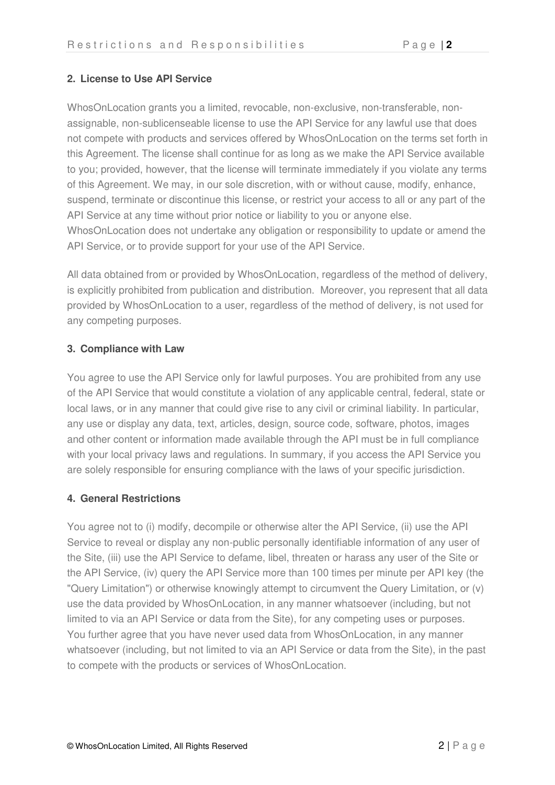## **2. License to Use API Service**

WhosOnLocation grants you a limited, revocable, non-exclusive, non-transferable, nonassignable, non-sublicenseable license to use the API Service for any lawful use that does not compete with products and services offered by WhosOnLocation on the terms set forth in this Agreement. The license shall continue for as long as we make the API Service available to you; provided, however, that the license will terminate immediately if you violate any terms of this Agreement. We may, in our sole discretion, with or without cause, modify, enhance, suspend, terminate or discontinue this license, or restrict your access to all or any part of the API Service at any time without prior notice or liability to you or anyone else. WhosOnLocation does not undertake any obligation or responsibility to update or amend the API Service, or to provide support for your use of the API Service.

All data obtained from or provided by WhosOnLocation, regardless of the method of delivery, is explicitly prohibited from publication and distribution. Moreover, you represent that all data provided by WhosOnLocation to a user, regardless of the method of delivery, is not used for any competing purposes.

## **3. Compliance with Law**

You agree to use the API Service only for lawful purposes. You are prohibited from any use of the API Service that would constitute a violation of any applicable central, federal, state or local laws, or in any manner that could give rise to any civil or criminal liability. In particular, any use or display any data, text, articles, design, source code, software, photos, images and other content or information made available through the API must be in full compliance with your local privacy laws and regulations. In summary, if you access the API Service you are solely responsible for ensuring compliance with the laws of your specific jurisdiction.

## **4. General Restrictions**

You agree not to (i) modify, decompile or otherwise alter the API Service, (ii) use the API Service to reveal or display any non-public personally identifiable information of any user of the Site, (iii) use the API Service to defame, libel, threaten or harass any user of the Site or the API Service, (iv) query the API Service more than 100 times per minute per API key (the "Query Limitation") or otherwise knowingly attempt to circumvent the Query Limitation, or (v) use the data provided by WhosOnLocation, in any manner whatsoever (including, but not limited to via an API Service or data from the Site), for any competing uses or purposes. You further agree that you have never used data from WhosOnLocation, in any manner whatsoever (including, but not limited to via an API Service or data from the Site), in the past to compete with the products or services of WhosOnLocation.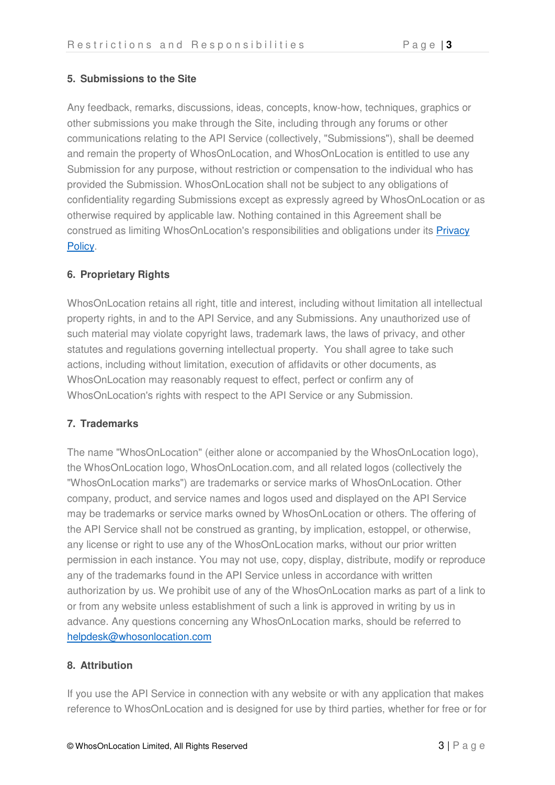## **5. Submissions to the Site**

Any feedback, remarks, discussions, ideas, concepts, know-how, techniques, graphics or other submissions you make through the Site, including through any forums or other communications relating to the API Service (collectively, "Submissions"), shall be deemed and remain the property of WhosOnLocation, and WhosOnLocation is entitled to use any Submission for any purpose, without restriction or compensation to the individual who has provided the Submission. WhosOnLocation shall not be subject to any obligations of confidentiality regarding Submissions except as expressly agreed by WhosOnLocation or as otherwise required by applicable law. Nothing contained in this Agreement shall be construed as limiting WhosOnLocation's responsibilities and obligations under its [Privacy](https://login.whosonlocation.com/home/privacy)  [Policy.](https://login.whosonlocation.com/home/privacy)

## **6. Proprietary Rights**

WhosOnLocation retains all right, title and interest, including without limitation all intellectual property rights, in and to the API Service, and any Submissions. Any unauthorized use of such material may violate copyright laws, trademark laws, the laws of privacy, and other statutes and regulations governing intellectual property. You shall agree to take such actions, including without limitation, execution of affidavits or other documents, as WhosOnLocation may reasonably request to effect, perfect or confirm any of WhosOnLocation's rights with respect to the API Service or any Submission.

# **7. Trademarks**

The name "WhosOnLocation" (either alone or accompanied by the WhosOnLocation logo), the WhosOnLocation logo, WhosOnLocation.com, and all related logos (collectively the "WhosOnLocation marks") are trademarks or service marks of WhosOnLocation. Other company, product, and service names and logos used and displayed on the API Service may be trademarks or service marks owned by WhosOnLocation or others. The offering of the API Service shall not be construed as granting, by implication, estoppel, or otherwise, any license or right to use any of the WhosOnLocation marks, without our prior written permission in each instance. You may not use, copy, display, distribute, modify or reproduce any of the trademarks found in the API Service unless in accordance with written authorization by us. We prohibit use of any of the WhosOnLocation marks as part of a link to or from any website unless establishment of such a link is approved in writing by us in advance. Any questions concerning any WhosOnLocation marks, should be referred to [helpdesk@whosonlocation.com](mailto:helpdesk@whosonlocation.com)

## **8. Attribution**

If you use the API Service in connection with any website or with any application that makes reference to WhosOnLocation and is designed for use by third parties, whether for free or for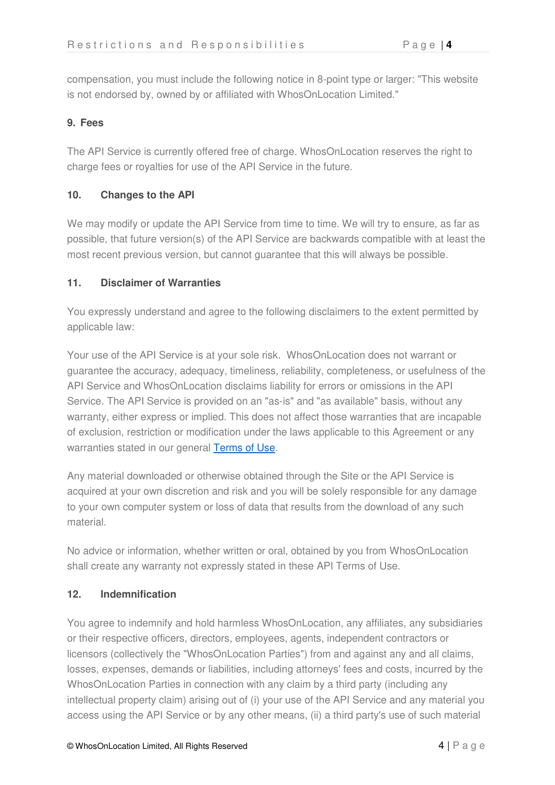compensation, you must include the following notice in 8-point type or larger: "This website is not endorsed by, owned by or affiliated with WhosOnLocation Limited."

### **9. Fees**

The API Service is currently offered free of charge. WhosOnLocation reserves the right to charge fees or royalties for use of the API Service in the future.

#### **10. Changes to the API**

We may modify or update the API Service from time to time. We will try to ensure, as far as possible, that future version(s) of the API Service are backwards compatible with at least the most recent previous version, but cannot guarantee that this will always be possible.

#### **11. Disclaimer of Warranties**

You expressly understand and agree to the following disclaimers to the extent permitted by applicable law:

Your use of the API Service is at your sole risk. WhosOnLocation does not warrant or guarantee the accuracy, adequacy, timeliness, reliability, completeness, or usefulness of the API Service and WhosOnLocation disclaims liability for errors or omissions in the API Service. The API Service is provided on an "as-is" and "as available" basis, without any warranty, either express or implied. This does not affect those warranties that are incapable of exclusion, restriction or modification under the laws applicable to this Agreement or any warranties stated in our general [Terms of Use.](https://login.whosonlocation.com/home/terms)

Any material downloaded or otherwise obtained through the Site or the API Service is acquired at your own discretion and risk and you will be solely responsible for any damage to your own computer system or loss of data that results from the download of any such material.

No advice or information, whether written or oral, obtained by you from WhosOnLocation shall create any warranty not expressly stated in these API Terms of Use.

#### **12. Indemnification**

You agree to indemnify and hold harmless WhosOnLocation, any affiliates, any subsidiaries or their respective officers, directors, employees, agents, independent contractors or licensors (collectively the "WhosOnLocation Parties") from and against any and all claims, losses, expenses, demands or liabilities, including attorneys' fees and costs, incurred by the WhosOnLocation Parties in connection with any claim by a third party (including any intellectual property claim) arising out of (i) your use of the API Service and any material you access using the API Service or by any other means, (ii) a third party's use of such material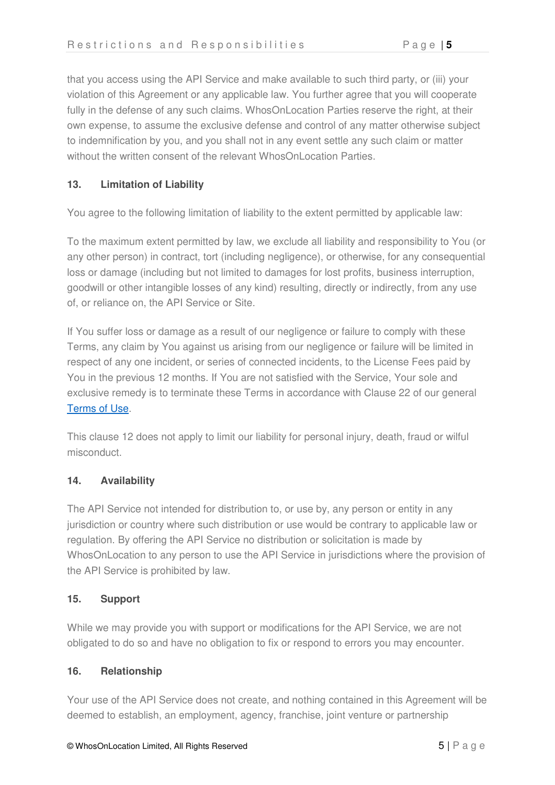that you access using the API Service and make available to such third party, or (iii) your violation of this Agreement or any applicable law. You further agree that you will cooperate fully in the defense of any such claims. WhosOnLocation Parties reserve the right, at their own expense, to assume the exclusive defense and control of any matter otherwise subject to indemnification by you, and you shall not in any event settle any such claim or matter without the written consent of the relevant WhosOnLocation Parties.

## **13. Limitation of Liability**

You agree to the following limitation of liability to the extent permitted by applicable law:

To the maximum extent permitted by law, we exclude all liability and responsibility to You (or any other person) in contract, tort (including negligence), or otherwise, for any consequential loss or damage (including but not limited to damages for lost profits, business interruption, goodwill or other intangible losses of any kind) resulting, directly or indirectly, from any use of, or reliance on, the API Service or Site.

If You suffer loss or damage as a result of our negligence or failure to comply with these Terms, any claim by You against us arising from our negligence or failure will be limited in respect of any one incident, or series of connected incidents, to the License Fees paid by You in the previous 12 months. If You are not satisfied with the Service, Your sole and exclusive remedy is to terminate these Terms in accordance with Clause 22 of our general [Terms of Use.](https://login.whosonlocation.com/home/terms)

This clause 12 does not apply to limit our liability for personal injury, death, fraud or wilful misconduct.

#### **14. Availability**

The API Service not intended for distribution to, or use by, any person or entity in any jurisdiction or country where such distribution or use would be contrary to applicable law or regulation. By offering the API Service no distribution or solicitation is made by WhosOnLocation to any person to use the API Service in jurisdictions where the provision of the API Service is prohibited by law.

#### **15. Support**

While we may provide you with support or modifications for the API Service, we are not obligated to do so and have no obligation to fix or respond to errors you may encounter.

#### **16. Relationship**

Your use of the API Service does not create, and nothing contained in this Agreement will be deemed to establish, an employment, agency, franchise, joint venture or partnership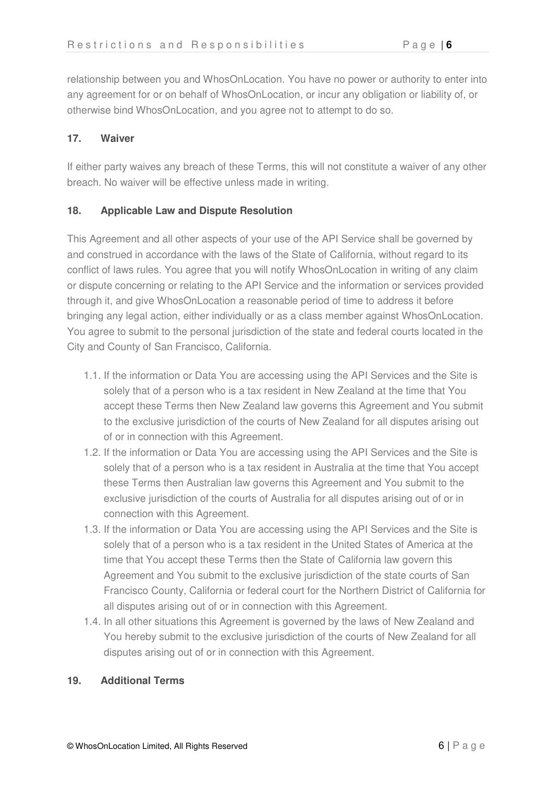relationship between you and WhosOnLocation. You have no power or authority to enter into any agreement for or on behalf of WhosOnLocation, or incur any obligation or liability of, or otherwise bind WhosOnLocation, and you agree not to attempt to do so.

## **17. Waiver**

If either party waives any breach of these Terms, this will not constitute a waiver of any other breach. No waiver will be effective unless made in writing.

## **18. Applicable Law and Dispute Resolution**

This Agreement and all other aspects of your use of the API Service shall be governed by and construed in accordance with the laws of the State of California, without regard to its conflict of laws rules. You agree that you will notify WhosOnLocation in writing of any claim or dispute concerning or relating to the API Service and the information or services provided through it, and give WhosOnLocation a reasonable period of time to address it before bringing any legal action, either individually or as a class member against WhosOnLocation. You agree to submit to the personal jurisdiction of the state and federal courts located in the City and County of San Francisco, California.

- 1.1. If the information or Data You are accessing using the API Services and the Site is solely that of a person who is a tax resident in New Zealand at the time that You accept these Terms then New Zealand law governs this Agreement and You submit to the exclusive jurisdiction of the courts of New Zealand for all disputes arising out of or in connection with this Agreement.
- 1.2. If the information or Data You are accessing using the API Services and the Site is solely that of a person who is a tax resident in Australia at the time that You accept these Terms then Australian law governs this Agreement and You submit to the exclusive jurisdiction of the courts of Australia for all disputes arising out of or in connection with this Agreement.
- 1.3. If the information or Data You are accessing using the API Services and the Site is solely that of a person who is a tax resident in the United States of America at the time that You accept these Terms then the State of California law govern this Agreement and You submit to the exclusive jurisdiction of the state courts of San Francisco County, California or federal court for the Northern District of California for all disputes arising out of or in connection with this Agreement.
- 1.4. In all other situations this Agreement is governed by the laws of New Zealand and You hereby submit to the exclusive jurisdiction of the courts of New Zealand for all disputes arising out of or in connection with this Agreement.

#### **19. Additional Terms**